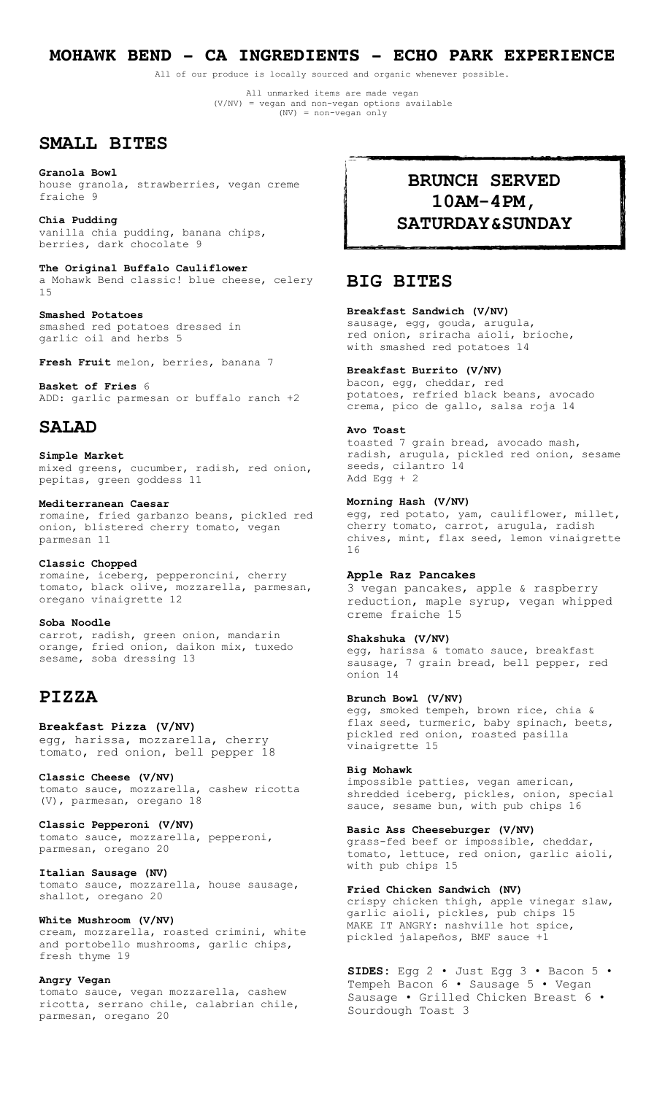# **MOHAWK BEND - CA INGREDIENTS - ECHO PARK EXPERIENCE**

All of our produce is locally sourced and organic whenever possible.

All unmarked items are made vegan (V/NV) = vegan and non-vegan options available (NV) = non-vegan only

## **SMALL BITES**

**Granola Bowl**  house granola, strawberries, vegan creme fraiche 9

**Chia Pudding**  vanilla chia pudding, banana chips, berries, dark chocolate 9

**The Original Buffalo Cauliflower** a Mohawk Bend classic! blue cheese, celery 15

**Smashed Potatoes** smashed red potatoes dressed in garlic oil and herbs 5

**Fresh Fruit** melon, berries, banana 7

**Basket of Fries** 6 ADD: garlic parmesan or buffalo ranch +2

# **SALAD**

**Simple Market** mixed greens, cucumber, radish, red onion, pepitas, green goddess 11

**Mediterranean Caesar**  romaine, fried garbanzo beans, pickled red onion, blistered cherry tomato, vegan parmesan 11

**Classic Chopped**  romaine, iceberg, pepperoncini, cherry tomato, black olive, mozzarella, parmesan, oregano vinaigrette 12

**Soba Noodle** carrot, radish, green onion, mandarin orange, fried onion, daikon mix, tuxedo sesame, soba dressing 13

# **PIZZA**

**Breakfast Pizza (V/NV)** egg, harissa, mozzarella, cherry tomato, red onion, bell pepper 18

**Classic Cheese (V/NV)**  tomato sauce, mozzarella, cashew ricotta (V), parmesan, oregano 18

**Classic Pepperoni (V/NV)**  tomato sauce, mozzarella, pepperoni, parmesan, oregano 20

**Italian Sausage (NV)** tomato sauce, mozzarella, house sausage, shallot, oregano 20

#### **White Mushroom (V/NV)**

cream, mozzarella, roasted crimini, white and portobello mushrooms, garlic chips, fresh thyme 19

### **Angry Vegan**

tomato sauce, vegan mozzarella, cashew ricotta, serrano chile, calabrian chile, parmesan, oregano 20

# **BRUNCH SERVED 10AM-4PM, SATURDAY&SUNDAY**

# **BIG BITES**

## **Breakfast Sandwich (V/NV)**

sausage, egg, gouda, arugula, red onion, sriracha aioli, brioche, with smashed red potatoes 14

### **Breakfast Burrito (V/NV)**

bacon, egg, cheddar, red potatoes, refried black beans, avocado crema, pico de gallo, salsa roja 14

### **Avo Toast**

toasted 7 grain bread, avocado mash, radish, arugula, pickled red onion, sesame seeds, cilantro 14 Add Egg  $+2$ 

#### **Morning Hash (V/NV)**

egg, red potato, yam, cauliflower, millet, cherry tomato, carrot, arugula, radish chives, mint, flax seed, lemon vinaigrette 16

### **Apple Raz Pancakes**

3 vegan pancakes, apple & raspberry reduction, maple syrup, vegan whipped creme fraiche 15

### **Shakshuka (V/NV)**

egg, harissa & tomato sauce, breakfast sausage, 7 grain bread, bell pepper, red onion 14

#### **Brunch Bowl (V/NV)**

egg, smoked tempeh, brown rice, chia & flax seed, turmeric, baby spinach, beets, pickled red onion, roasted pasilla vinaigrette 15

### **Big Mohawk**

impossible patties, vegan american, shredded iceberg, pickles, onion, special sauce, sesame bun, with pub chips 16

#### **Basic Ass Cheeseburger (V/NV)**

grass-fed beef or impossible, cheddar, tomato, lettuce, red onion, garlic aioli, with pub chips 15

#### **Fried Chicken Sandwich (NV)**

crispy chicken thigh, apple vinegar slaw, garlic aioli, pickles, pub chips 15 MAKE IT ANGRY: nashville hot spice, pickled jalapeños, BMF sauce +1

**SIDES:** Egg 2 • Just Egg 3 • Bacon 5 • Tempeh Bacon 6 • Sausage 5 • Vegan Sausage • Grilled Chicken Breast 6 • Sourdough Toast 3